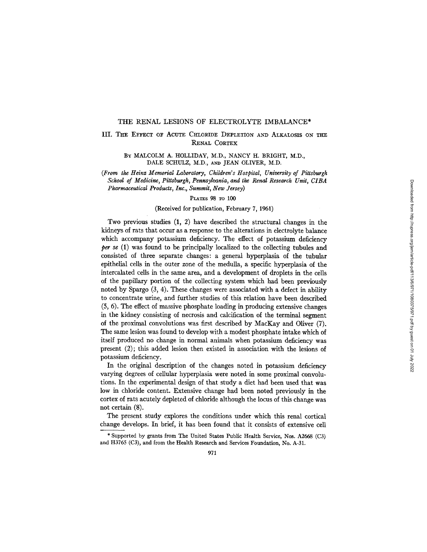#### THE RENAL LESIONS OF ELECTROLYTE IMBALANCE\*

# III. THE EFFECT OF ACUTE CHLORIDE DEPLETION AND ALKALOSIS ON THE **RENAL CORTEX**

BY MALCOLM A. HOLLIDAY, M.D., NANCY H. BRIGHT, M.D., DALE SCHULZ, M.D., AND JEAN OLIVER, M.D.

*(From the Heinz Memorial Laboratory, Children's Hospital, University of Pittsburgh School of Medicine, Pittsburgh, Pennsylvania, and the Renal Research Unit, CIBA Pharmaceutical Products, Inc., Summit, New Jersey)* 

#### PLATES 98 TO 100

#### (Received for publication, February 7, 1961)

Two previous studies (1, 2) have described the structural changes in the kidneys of rats that occur as a response to the alterations in electrolyte balance which accompany potassium deficiency. The effect of potassium deficiency *per se* (1) was found to be principally localized to the collecting tubules and consisted of three separate changes: a general hyperplasia of the tubular epithelial ceils in the outer zone of the medulla, a specific hyperplasia of the intercalated ceils in the same area, and a development of droplets in the cells of the papillary portion of the collecting system which had been previously noted by Spargo (3, 4). These changes were associated with a defect in ability to concentrate urine, and further studies of this relation have been described (5, 6). The effect of massive phosphate loading in producing extensive changes in the kidney consisting of necrosis and calcification of the terminal segment of the proximal convolutions was first described by MacKay and Oliver (7). The same lesion was found to develop with a modest phosphate intake which of itself produced no change in normal animals when potassium deficiency was present (2); this added lesion then existed in association with the lesions of potassium deficiency.

In the original description of the changes noted in potassium deficiency varying degrees of cellular hyperplasia were noted in some proximal convolutions. In the experimental design of that study a diet had been used that was low in chloride content. Extensive change had been noted previously in the cortex of rats acutely depleted of chloride although the locus of this change was not certain (8).

The present study explores the conditions under which this renal cortical change develops. In brief, it has been found that it consists of extensive cell

<sup>\*</sup> Supported by grants from The United States Public Health Service, Nos. A2668 (C3) and H3765 (C3), and from the Health Research and Services Foundation, No. A-31.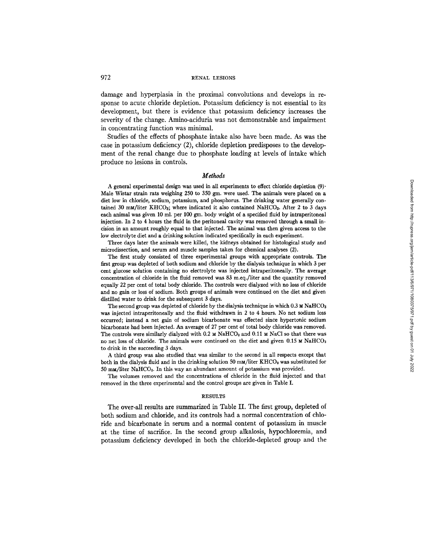damage and hyperplasia in the proximal convolutions and develops in response to acute chloride depletion. Potassium deficiency is not essential to its development, but there is evidence that potassium deficiency increases the severity of the change. Amino-aciduria was not demonstrable and impairment in concentrating function was minimal.

Studies of the effects of phosphate intake also have been made. As was the case in potassium deficiency (2), chloride depletion predisposes to the development of the renal change due to phosphate loading at levels of intake which produce no lesions in controls.

#### *Methods*

A general experimental design was used in all experiments to effect chloride depletion  $(9)$ . Male Wistar strain rats weighing 250 to 350 gm. were used. The animals were placed on a diet low in chloride, sodium, potassium, and phosphorus. The drinking water generally contained 30 mM/liter KHCO<sub>3</sub>; where indicated it also contained NaHCO<sub>3</sub>. After 2 to 3 days each animal was given 10 ml. per 100 gm. body weight of a specified fluid by intraperitoneal injection. In 2 to 4 hours the fluid in the peritoneal cavity was removed through a small incision in an amount roughly equal to that injected. The animal was then given access to the low electrolyte diet and a drinking solution indicated specifically in each experiment.

Three days later the animals were killed, the kidneys obtained for histological study and microdissection, and serum and muscle samples taken for chemical analyses (2).

The first study consisted of three experimental groups with appropriate controls. The first group was depleted of both sodium and chloride by the dialysis technique in which 3 per cent glucose solution containing no electrolyte was injected intraperitoneally. The average concentration of chloride in the fluid removed was 83 m.eq./liter and the quantity removed equally 22 per cent of total body chloride. The controls were dialyzed with no loss of chloride and no gain or loss of sodium. Both groups of animals were continued on the diet and given distilled water to drink for the subsequent 3 days.

The second group was depleted of chloride by the dialysis technique in which  $0.3 ~\text{m}$  NaHCO<sub>3</sub> was injected intraperitoneally and the fluid withdrawn in 2 to 4 hours. No net sodium loss occurred; instead a net gain of sodium bicarbonate was effected since hypertonic sodium bicarbonate had been injected. An average of 27 per cent of total body chloride was removed. The controls were similarly dialyzed with 0.2  $\text{M NaHCO}_3$  and 0.11 M NaCl so that there was no net loss of chloride. The animals were continued on the diet and given 0.15 M NaHCO<sub>3</sub> to drink in the succeeding 3 days.

A third group was also studied that was similar to the second in all respects except that both in the dialysis fluid and in the drinking solution 50 mm/liter KHCO<sub>3</sub> was substituted for 50 mm/liter NaHCO<sub>3</sub>. In this way an abundant amount of potassium was provided.

The volumes removed and the concentrations of chloride in the fluid injected and that removed in the three experimental and the control groups are given in Table I.

#### **RESULTS**

The over-all results are summarized in Table II. The first group, depleted of both sodium and chloride, and its controls had a normal concentration of chloride and bicarbonate in serum and a normal content of potassium in muscle at the time of sacrifice. In the second group alkalosis, hypochloremia, and potassium deficiency developed in both the chloride-depleted group and the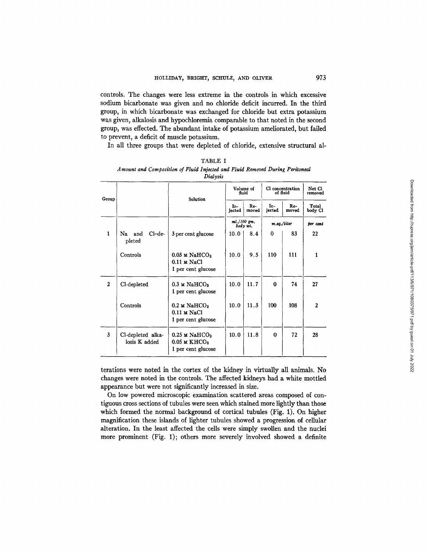controls. The changes were less extreme in the controls in which excessive sodium bicarbonate was given and no chloride deficit incurred. In the third group, in which bicarbonate was exchanged for chloride but extra potassium was given, alkalosis and hypochloremia comparable to that noted in the second group, was effected. The abundant intake of potassium ameliorated, but failed to prevent, a deficit of muscle potassium.

In all three groups that were depleted of chloride, extensive structural al-

|              |                                    | Dialysis                                                                        |                           |                |                              |              |                   |
|--------------|------------------------------------|---------------------------------------------------------------------------------|---------------------------|----------------|------------------------------|--------------|-------------------|
| Group        |                                    | Solution                                                                        | Volume of<br>fluid        |                | Cl concentration<br>of fluid |              | Net Cl<br>removed |
|              |                                    |                                                                                 | In-<br>iected             | $Re-$<br>moved | In-<br>jected                | Re-<br>moved | Total<br>body Cl  |
|              |                                    |                                                                                 | $ml./100$ gm.<br>body wi. |                | m.eq. / liter                |              | per cent          |
| $\mathbf{1}$ | $Cl$ -de-<br>Na .<br>and<br>pleted | 3 per cent glucose                                                              | 10.0                      | 8.4            | 0                            | 83           | 22                |
|              | Controls                           | $0.03 \text{ m }$ NaHCO <sub>3</sub><br>$0.11$ M NaCl<br>1 per cent glucose     | 10.0                      | 9.5            | 110                          | 111          | 1                 |
| $\mathbf{2}$ | Cl-depleted                        | $0.3 \text{ m }$ NaHCO <sub>3</sub><br>1 per cent glucose                       | 10.0                      | 11.7           | 0                            | 74           | 27                |
|              | Controls                           | $0.2 \text{ M NaHCO}_3$<br>$0.11 \text{ m NaCl}$<br>1 per cent glucose          | 10.0                      | 11.3           | 100                          | 108          | $\mathbf{2}$      |
| 3            | Cl-depleted alka-<br>losis K added | $0.25$ M NaHCO <sub>3</sub><br>$0.05$ M KHCO <sub>3</sub><br>1 per cent glucose | 10.0                      | 11.8           | $\Omega$                     | 72           | 28                |

| TABLE I                                                                      |
|------------------------------------------------------------------------------|
| Amount and Composition of Fluid Injected and Fluid Removed During Peritoneal |
| Diolanic                                                                     |

terations were noted in the cortex of the kidney in virtually all animals. No changes were noted in the controls. The affected kidneys had a white mottled appearance but were not significantly increased in size.

On low powered microscopic examination scattered areas composed of contiguous cross sections of tubules were seen which stained more lightly than those which formed the normal background of cortical tubules (Fig. 1). On higher magnification these islands of lighter tubules showed a progression of cellular alteration. In the least affected the cells were simply swollen and the nuclei more prominent (Fig. 1); others more severely involved showed a definite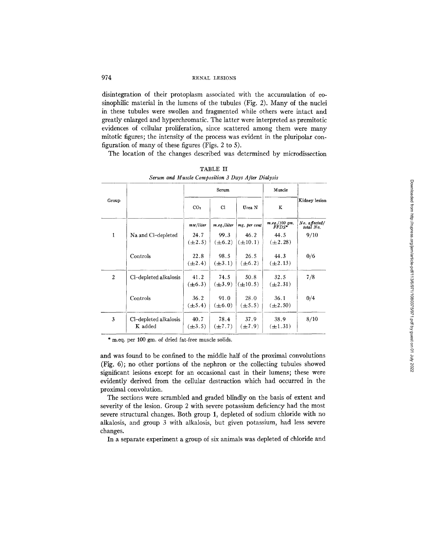disintegration of their protoplasm associated with the accumulation of eosinophilic material in the lumens of the tubules (Fig. 2). Many of the nuclei in these tubules were swollen and fragmented while others were intact and greatly enlarged and hyperchromatic. The latter were interpreted as premitotic evidences of cellular proliferation, since scattered among them were many mitotic figures; the intensity of the process was evident in the pluripolar configuration of many of these figures (Figs. 2 to 5).

The location of the changes described was determined by microdissection

|                |                                  | Serum               |                     |                      | Muscle                              |                            |  |
|----------------|----------------------------------|---------------------|---------------------|----------------------|-------------------------------------|----------------------------|--|
| Group          |                                  | CO <sub>2</sub>     | C1                  | Urea N               | K                                   | Kidney lesion              |  |
|                |                                  | $m_M/l$ iter        | m.eq./liter         | mg. per cent         | $\frac{mq.7100 \text{ gm}}{FFDS^*}$ | No. affected/<br>total No. |  |
| 1              | Na and Cl-depleted               | 24.7<br>$(\pm 2.5)$ | 99.3<br>$(\pm 6.2)$ | 46.2<br>$(\pm 10.1)$ | 44.5<br>$(\pm 2.28)$                | 9/10                       |  |
|                | Controls                         | 22.8<br>$(\pm 2.4)$ | 98.5<br>$(\pm 3.1)$ | 26.5<br>$(\pm 6.2)$  | 44.3<br>$(\pm 2.13)$                | 0/6                        |  |
| $\overline{2}$ | Cl-depleted alkalosis            | 41.2<br>$(\pm 6.3)$ | 74.5<br>$(\pm 3.9)$ | 50.8<br>$(\pm 10.5)$ | 32.5<br>$(\pm 2.31)$                | 7/8                        |  |
|                | Controls                         | 36.2<br>$(\pm 5.4)$ | 91.0<br>$(\pm 6.0)$ | 28.0<br>$(\pm 5.5)$  | 36.1<br>$(\pm 2.50)$                | 0/4                        |  |
| 3              | Cl-depleted alkalosis<br>K added | 40.7<br>$(\pm 3.5)$ | 78.4<br>$(\pm 7.7)$ | 37.9<br>$(\pm 7.9)$  | 38.9<br>$(\pm 1.31)$                | 8/10                       |  |

TABLE II *Serum and Muscle Composition 3 Days After Dialysis* 

\* m.eq. per 100 gm. of dried fat-free muscle solids.

and was found to be confined to the middle half of the proximal convolutions (Fig. 6); no other portions of the nephron or the collecting tubules showed significant lesions except for an occasional cast in their lumens; these were evidently derived from the cellular destruction which had occurred in the proximal convolution.

The sections were scrambled and graded blindly on the basis of extent and severity of the lesion. Group 2 with severe potassium deficiency had the most severe structural changes. Both group 1, depleted of sodium chloride with no alkalosis, and group 3 with alkalosis, but given potassium, had less severe changes.

In a separate experiment a group of six animals was depleted of chloride and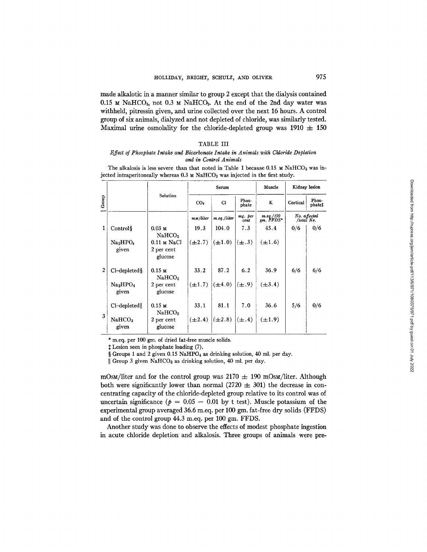made alkalotic in a manner similar to group 2 except that the dialysis contained 0.15  $\text{M}$  NaHCO<sub>3</sub>, not 0.3  $\text{M}$  NaHCO<sub>3</sub>. At the end of the 2nd day water was withheld, pitressin given, and urine collected over the next 16 hours. A control group of six animals, dialyzed and not depleted of chloride, was similarly tested. Maximal urine osmolality for the chloride-depleted group was  $1910 \pm 150$ 

#### TABLE III

#### *Effect of Phosphate Intake and Bicarbonate Intake in Animals with Chloride Depletion and in Control Animals*

The alkalosis is less severe than that noted in Table I because  $0.15 \text{ m } \text{NaHCO}_3$  was injected intraperitoneally whereas  $0.3 ~\text{m}$  NaHCO<sub>3</sub> was injected in the first study.

|              |                                           |                                                | Serum                 |                |                 | Muscle                             | Kidney lesion               |                 |
|--------------|-------------------------------------------|------------------------------------------------|-----------------------|----------------|-----------------|------------------------------------|-----------------------------|-----------------|
| Group        |                                           | Solution                                       | CO <sub>2</sub>       | CI             | Phos-<br>phate  | K                                  | Cortical                    | Phos-<br>phatet |
|              |                                           |                                                | m <sub>M</sub> /liter | $m_eq$ ./liter | mg. per<br>cent | $m_{\cdot}$ eq./100<br>gm. $FFDS*$ | No. a ffected<br>/total No. |                 |
| $\mathbf{1}$ | Controls                                  | $0.03 \text{ m}$<br>NaHCO <sub>3</sub>         | 19.3                  | 104.0          | 7.3             | 45.4                               | 0/6                         | 0/6             |
|              | Na <sub>2</sub> HPO <sub>4</sub><br>given | $0.11 \text{ m NaCl}$<br>2 per cent<br>glucose | $(\pm 2.7)$           | $(\pm 1.0)$    | $(\pm .3)$      | $(\pm 1.6)$                        |                             |                 |
| $\mathbf{2}$ | $Cl$ -depleted §                          | $0.15$ M<br>NAHCO <sub>3</sub>                 | 33.2                  | 87.2           | 6.2             | 36.9                               | 6/6                         | 6/6             |
|              | Na <sub>2</sub> HPO <sub>4</sub><br>given | 2 per cent<br>glucose                          | $(\pm 1.7)$           | $(\pm 4.0)$    | $(\pm .9)$      | $(\pm 3.4)$                        |                             |                 |
| $\mathbf{3}$ | Cl-depleted                               | $0.15 \text{ m}$<br>NaHCO <sub>3</sub>         | 33.1                  | 81.1           | 7.0             | 36.6                               | 5/6                         | 0/6             |
|              | NaHCO <sub>3</sub><br>given               | 2 per cent<br>glucose                          | $(\pm 2.4)$           | $(\pm 2.8)$    | $(\pm .4)$      | $(\pm 1.9)$                        |                             |                 |

m.eq. per 100 gm. of dried fat-free muscle solids.

Lesion seen in phosphate loading (7).

§ Groups 1 and 2 given 0.15 NaHPO<sub>4</sub> as drinking solution, 40 ml. per day.

Group 3 given NaHCO3 as drinking solution, 40 ml. per day.

mOsm/liter and for the control group was  $2170 \pm 190$  mOsm/liter. Although both were significantly lower than normal  $(2720 \pm 301)$  the decrease in concentrating capacity of the chloride-depleted group relative to its control was of uncertain significance ( $p = 0.05 - 0.01$  by t test). Muscle potassium of the experimental group averaged 36.6 m.eq. per 100 gm. fat-free dry solids (FFDS) and of the control group 44.3 m.eq. per 100 gm. FFDS.

Another study was done to observe the effects of modest phosphate ingestion in acute chloride depletion and alkalosis. Three groups of animals were pre-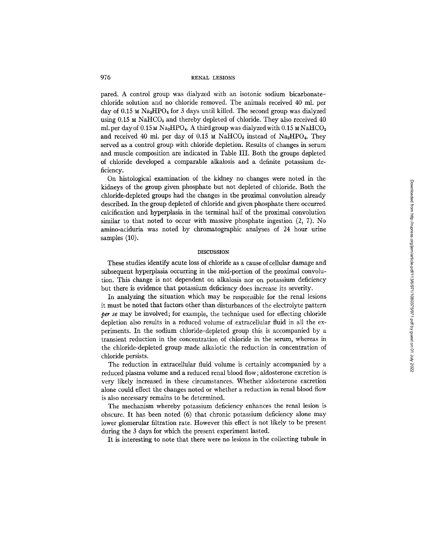pared. A control group was dialyzed with an isotonic sodium bicarbonatechloride solution and no chloride removed. The animals received 40 ml. per day of 0.15  $\text{M Na}_2\text{HPO}_4$  for 3 days until killed. The second group was dialyzed using  $0.15$  M NaHCO<sub>3</sub> and thereby depleted of chloride. They also received  $40$ ml. per day of  $0.15$  M Na<sub>2</sub>HPO<sub>4</sub>. A third group was dialyzed with  $0.15$  MNaHCO<sub>3</sub> and received 40 ml. per day of 0.15  $\mu$  NaHCO<sub>8</sub> instead of Na<sub>2</sub>HPO<sub>4</sub>. They served as a control group with chloride depletion. Results of changes in serum and muscle composition are indicated in Table IlL Both the groups depleted of chloride developed a comparable alkalosis and a definite potassium deficiency.

On histological examination of the kidney no changes were noted in the kidneys of the group given phosphate but not depleted of chloride. Both the chloride-depleted groups had the changes in the proximal convolution already described. In the group depleted of chloride and given phosphate there occurred calcification and hyperplasia in the terminal half of the proximal convolution similar to that noted to occur with massive phosphate ingestion (2, 7). No amino-aciduria was noted by chromatographic analyses of 24 hour urine samples (10).

#### **DISCUSSION**

These studies identify acute loss of chloride as a cause of cellular damage and subsequent hyperpiasia occurring in the mid-portion of the proximal convolution. This change is not dependent on alkalosis nor on potassium deficiency but there is evidence that potassium deficiency does increase its severity.

In analyzing the situation which may be responsible for the renal lesions it must be noted that factors other than disturbances of the electrolyte pattern *per se* may be involved; for example, the technique used for effecting chloride depletion also results in a reduced volume of extracellular fluid in all the experiments. In the sodium chloride-depleted group this is accompanied by a transient reduction in the concentration of chloride in the serum, whereas in the chloride-depleted group made alkalotic the reduction in concentration of chloride persists.

The reduction in extracellular fluid volume is certainly accompanied by a reduced plasma volume and a reduced renal blood flow; aldosterone excretion is very likely increased in these circumstances. Whether aldosterone excretion alone could effect the changes noted or whether a reduction in renal blood flow is also necessary remains to be determined.

The mechanism whereby potassium deficiency enhances the renal lesion is obscure. It has been noted (6) that chronic potassium deficiency alone may lower glomerular filtration rate. However this effect is not likely to be present during the 3 days for which the present experiment lasted.

It is interesting to note that there were no lesions in the collecting tubule in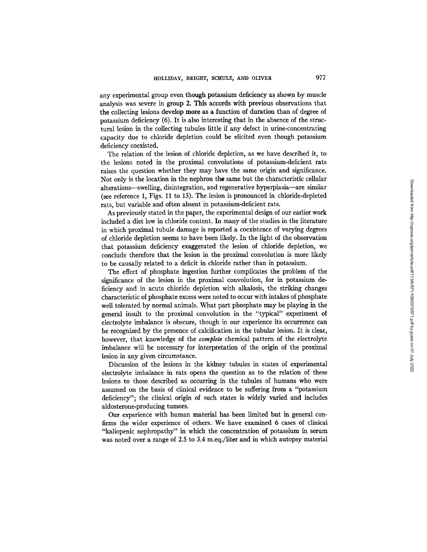any experimental group even though potassium deficiency as shown by muscle analysis was severe in group 2. This accords with previous observations that the collecting lesions develop more as a function of duration than of degree of potassium deficiency (6). It is also interesting that in the absence of the structural lesion in the collecting tubules little if any defect in urine-concentrating capacity due to chloride depletion could be elicited even though potassium deficiency coexisted.

The relation of the lesion of chloride depletion, as we have described it, to the lesions noted in the proximal convolutions of potassium-deficient rats raises the question whether they may have the same origin and significance. Not only is the location in the nephron the same but the characteristic cellular alterations-swelling, disintegration, and regenerative hyperplasia-are similar (see reference 1, Figs. 11 to 13). The lesion is pronounced in chloride-depleted rats, but variable and often absent in potassium-deficient rats.

As previously stated in the paper, the experimental design of our earlier work included a diet low in chloride content. In many of the studies in the literature in which proximal tubule damage is reported a coexistence of varying degrees of chloride depletion seems to have been likely. In the light of the observation that potassium deficiency exaggerated the lesion of chloride depletion, we conclude therefore that the lesion in the proximal convolution is more likely to be causally related to a deficit in chloride rather than in potassium.

The effect of phosphate ingestion further complicates the problem of the significance of the lesion in the proximal convolution, for in potassium deficiency and in acute chloride depletion with alkalosis, the striking changes characteristic of phosphate excess were noted to occur with intakes of phosphate well tolerated by normal animals. What part phosphate may be playing in the general insult to the proximal convolution in the "typical" experiment of electrolyte imbalance is obscure, though in our experience its occurrence can be recognized by the presence of calcification in the tubular lesion. It is clear, however, that knowledge of the *complete* chemical pattem of the electrolyte imbalance will be necessary for interpretation of the origin of the proximal lesion in any given circumstance.

Discussion of the lesions in the kidney tubules in states of experimental electrolyte imbalance in rats opens the question as to the relation of these lesions to those described as occurring in the tubules of humans who were assumed on the basis of clinical evidence to be suffering from a "potassium deficiency"; the clinical origin of such states is widely varied and includes aldosterone-producing tumors.

Our experience with human material has been limited but in general confirms the wider experience of others. We have examined 6 cases of clinical "kaliopenic nephropathy" in which the concentration of potassium in serum was noted over a range of 2.5 to 3.4 m.eq./liter and in which autopsy material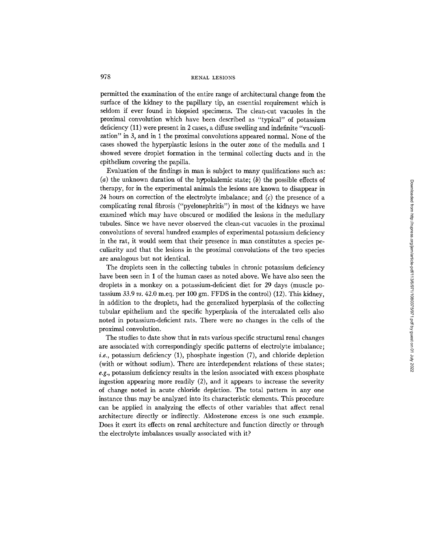permitted the examination of the entire range of architectural change from the surface of the kidney to the papillary tip, an essential requirement which is seldom if ever found in biopsied specimens. The clean-cut vacuoles in the proximal convolution which have been described as "typical" of potassium deficiency (11) were present in 2 cases, a diffuse swelling and indefinite "vacuolization" in 3, and in 1 the proximal convolutions appeared normal. None of the cases showed the hyperplastic lesions in the outer zone of the medulla and 1 showed severe droplet formation in the terminal collecting ducts and in the epithelium covering the papilla.

Evaluation of the findings in man is subject to many qualifications such as: (a) the unknown duration of the hypokalemic state; (b) the possible effects of therapy, for in the experimental animals the lesions are known to disappear in 24 hours on correction of the electrolyte imbalance; and  $(c)$  the presence of a complicating renal fibrosis ("pyelonephritis") in most of the kidneys we have examined which may have obscured or modified the lesions in the medullary tubules. Since we have never observed the clean-cut vacuoles in the proximal convolutions of several hundred examples of experimental potassium deficiency in the rat, it would seem that their presence in man constitutes a species peculiarity and that the lesions in the proximal convolutions of the two species are analogous but not identical.

The droplets seen in the collecting tubules in chronic potassium deficiency have been seen in 1 of the human cases as noted above. We have also seen the droplets in a monkey on a potassium-deficient diet for 29 days (muscle potassium 33.9 *vs.* 42.0 m.eq. per 100 gm. FFDS in the control) (12). This kidney, in addition to the droplets, had the generalized hyperplasia of the collecting tubular epithelium and the specific hyperplasia of the intercalated cells also noted in potassium-deficient rats. There were no changes in the cells of the proximal convolution.

The studies to date show that in rats various specific structural renal changes are associated with correspondingly specific patterns of electrolyte imbalance; *i.e.*, potassium deficiency (1), phosphate ingestion (7), and chloride depletion (with or without sodium). There are interdependent relations of these states; *e.g.,* potassium deficiency results in the lesion associated with excess phosphate ingestion appearing more readily (2), and it appears to increase the severity of change noted in acute chloride depletion. The total pattern in any one instance thus may be analyzed into its characteristic elements. This procedure can be applied in analyzing the effects of other variables that affect renal architecture directly or indirectly. Aldosterone excess is one such example. Does it exert its effects on renal architecture and function directly or through the electrolyte imbalances usually associated with it?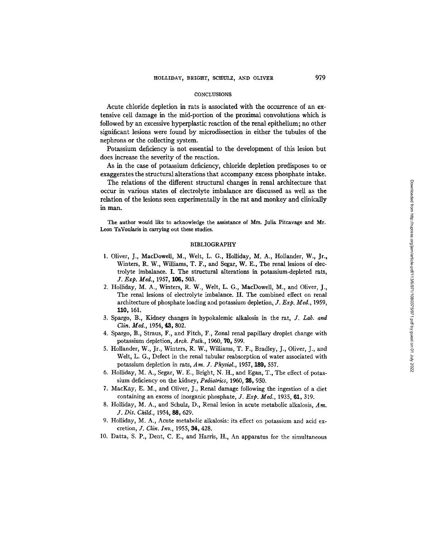#### **CONCLUSIONS**

Acute chloride depletion in rats is associated with the occurrence of an extensive cell damage in the mid-portion of the proximal convolutions which is followed by an excessive hyperplastic reaction of the renal epithelium; no other significant lesions were found by microdissection in either the tubules of the nephrons or the collecting system.

Potassium deficiency is not essential to the development of this lesion but does increase the severity of the reaction.

As in the case of potassium deficiency, chloride depletion predisposes to or exaggerates the structural alterations that accompany excess phosphate intake.

The relations of the different structural changes in renal architecture that occur in various states of electrolyte imbalance are discussed as well as the relation of the lesions seen experimentally in the rat and monkey and clinically in man.

The author would like to acknowledge the assistance of Mrs. Julia Pitcavage and Mr. Leon TaVoularis in carrying out these studies.

#### BIBLIOGRAPHY

- 1. Oliver, J., MacDowell, M., Welt, L. G., Holliday, M. A., Hollander, W., Jr., Winters, R. W., Williams, T. F., and Segar, W. E., The renal lesions of electrolyte imbalance. I. The structural alterations in potassium-depleted rats, *J. Exp. Med.,* 1957, 106, 503.
- 2. Holliday, M. A., Winters, R. W., Welt, L. G., MacDowell, M., and Oliver, J., The renal lesions of electrolyte imbalance. II. The combined effect on renal architecture of phosphate loading and potassium depletion, *J. Exp. Med.,* 1959, **110,** 161.
- 3. Spargo, B., Kidney changes in hypokalemic alkalosis in the rat, *J. Lab. and Clin. Med., 1954, 43, 802.*
- 4. Spargo, B., Straus, F., and Fitch, F., Zonal renal papillary droplet change with potassium depletion, *Arch. Path.,* 1960, 70, 599.
- 5. Hollander, W., Jr., Winters, R. W., Williams, T. F., Bradley, J., Oliver, J., and Welt, L. G., Defect in the renal tubular reabsorption of water associated with potassium depletion in rats, *Am. J. Physiol.,* 1957, 189, 557.
- 6. Holliday, M. A., Segar, W. E., Bright, N. H., and Egan, T., The effect of potassium deficiency on the kidney, *Pediatrics,* 1960, 26, 950.
- 7. MacKay, E. M., and Oliver, J., Renal damage following the ingestion of a diet containing an excess of inorganic phosphate, *J. Exp. Med.*, 1935, 61, 319.
- 8. HoUiday, M. A., and Schulz, D., Renal lesion in acute metabolic alkalosis, *Am. J. Dis. Child.,* 1954, 88,629.
- 9. Holliday, M. A., Acute metabolic alkalosis: its effect on potassium and acid excretion, *J. Clin. Inv.,* 1955, 34, 428.
- 10. Datta, S. P., Dent, C. E., and Harris, H., An apparatus for the simultaneous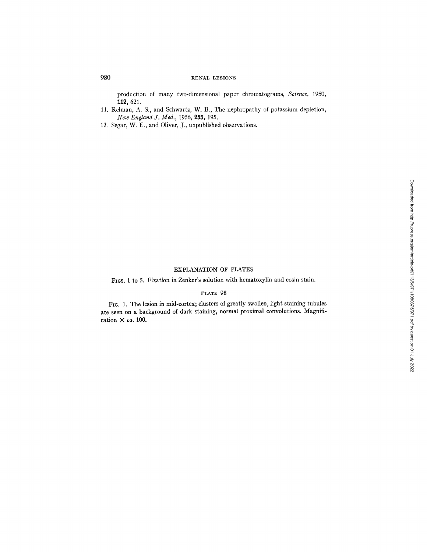production of many two-dimensional paper chromatograms, *Science,* 1950, 112, 621.

- 11. Relman, A. S., and Schwartz, W. B., The nephropathy of potassium depletion, *New England J. Med.,* 1956, 255, 195.
- 12. Segar, W. E., and Oliver, J., unpublished observations.

# EXPLANATION OF PLATES

FIGS. 1 to 5. Fixation in Zenker's solution with hematoxylin and eosin stain.

# PLATE 98

Fro. 1. The lesion in mid-cortex; dusters of greatly swollen, light staining tubules are seen on a background of dark staining, normal proximal convolutions. Magnification X *ca.* 100.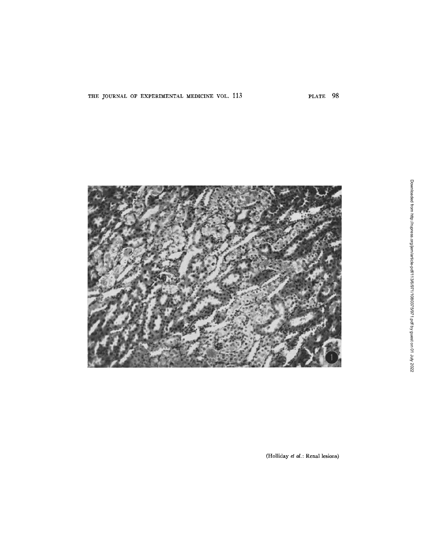

(Holliday *et al.*: Renal lesions)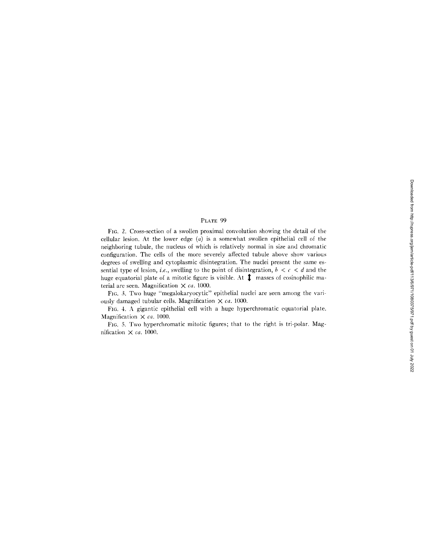# PLATE 99

FIG. 2. Cross-section of a swollen proximal convolution showing the detail of the cellular lesion. At the lower edge  $(a)$  is a somewhat swollen epithelial cell of the neighboring tubule, the nucleus of which is relatively normal in size and chromatic configuration. The cells of the more severely affected tubule above show various degrees of swelling and cytoplasmic disintegration. The nuclei present the same essential type of lesion, *i.e.*, swelling to the point of disintegration,  $b < c < d$  and the huge equatorial plate of a mitotic figure is visible. At  $\hat{\mathbf{I}}$  masses of eosinophilic material are seen. Magnification X *ca.* 1000.

FIC.. 3. Two huge "megalokaryocytic" epithelial nuclei are seen among the variously damaged tubular cells. Magnification X *ca.* 1000.

FI6. 4. A gigantic epithelial cell with a huge hyperchromatic equatorial plate. Magnification  $\times$  *ca.* 1000.

FIG. 5. Two hyperchromatic mitotic figures; that to the right is tri-polar. Magnification X *ca.* 1000.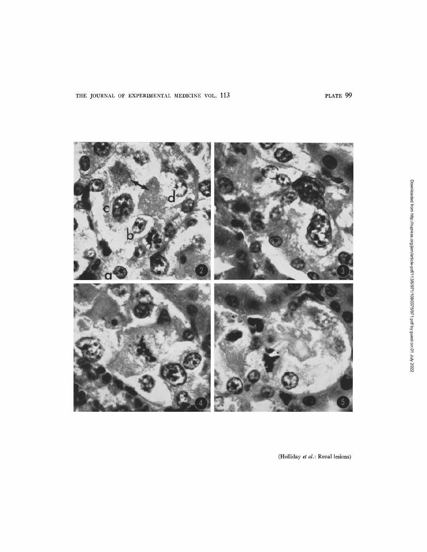

(Holliday *et al.*: Renal lesions)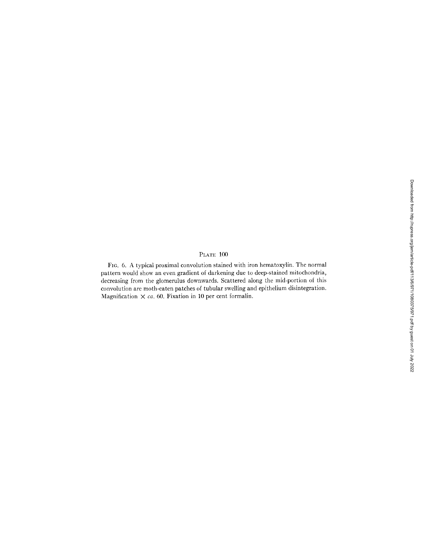# Downloaded from http://rupress.org/jem/article-pdf/113/6/971/1080375/971.pdf by guest on 01 July 2022 Downloaded from http://rupress.org/jem/article-pdf/113/6/971/1080375/971.pdf by guest on 01 July 2022

# PLATE 100

FIC. 6. A typical proximal convolution stained with iron hematoxylin. The normal pattern would show an even gradient of darkening due to deep-stained mitochondria, decreasing from the glomerulus downwards. Scattered along the mid-portion of this convolution are moth-eaten patches of tubular swelling and epithelium disintegration. Magnification  $\times$  *ca.* 60. Fixation in 10 per cent formalin.